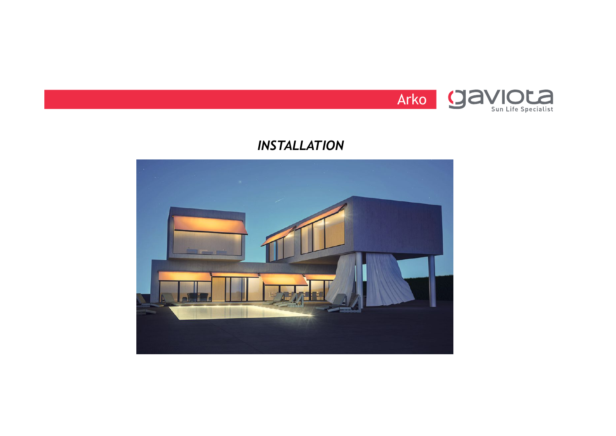

## *INSTALLATION*

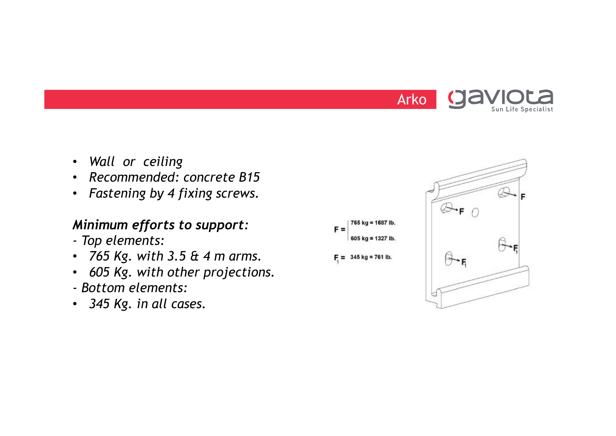

- *Wall or ceiling*
- *Recommended: concrete B15*
- *Fastening by 4 fixing screws.*

#### *Minimum efforts to support:*

- *- Top elements:*
- *765 Kg. with 3.5 & 4 m arms.*
- *605 Kg. with other projections.*
- *- Bottom elements:*
- *345 Kg. in all cases.*

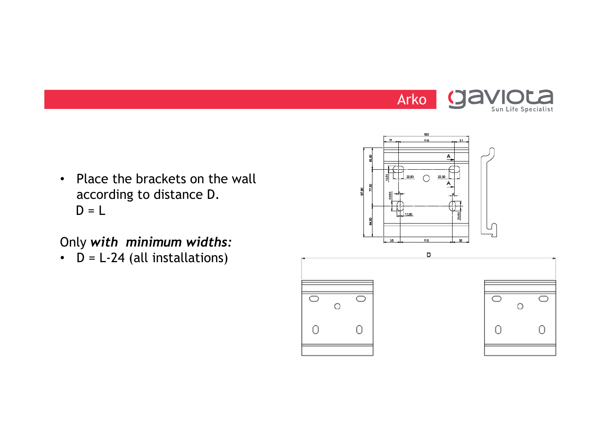

• Place the brackets on the wall according to distance D.  $D = L$ 

# Only *with minimum widths:*

 $\cdot$  D = L-24 (all installations)



180 448

 $\bigcap$ 

 $\frac{1}{200}$  22,50

T 13.50

 $\overline{A}$ 

22.50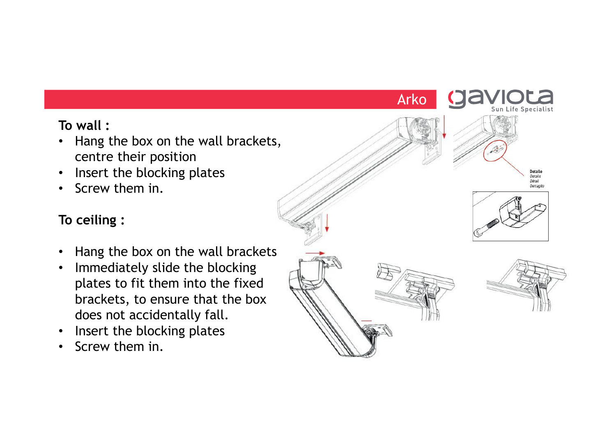# **To wall :**

- Hang the box on the wall brackets, centre their position
- Insert the blocking plates
- Screw them in.

## **To ceiling :**

- Hang the box on the wall brackets
- Immediately slide the blocking plates to fit them into the fixed brackets, to ensure that the box does not accidentally fall.
- Insert the blocking plates
- Screw them in.

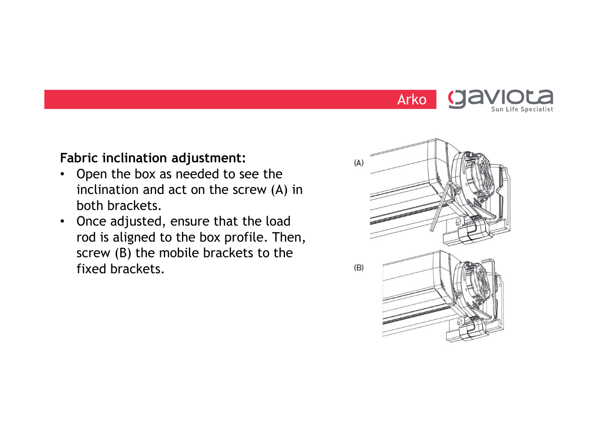

#### **Fabric inclination adjustment:**

- Open the box as needed to see the inclination and act on the screw (A) in both brackets.
- Once adjusted, ensure that the load rod is aligned to the box profile. Then, screw (B) the mobile brackets to the fixed brackets.

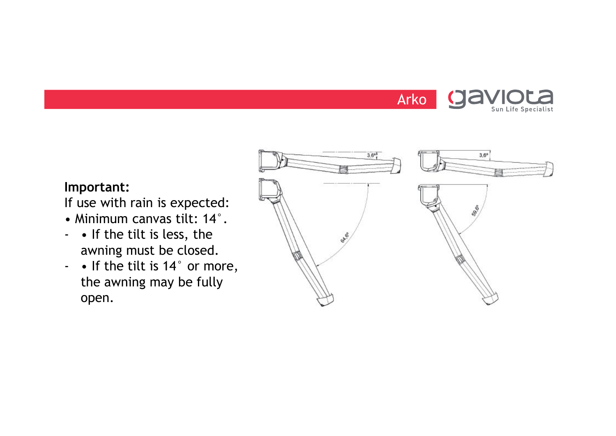

## **Important:**

If use with rain is expected:

- Minimum canvas tilt: 14°.
- • If the tilt is less, the awning must be closed.
- • If the tilt is 14° or more, the awning may be fully open.

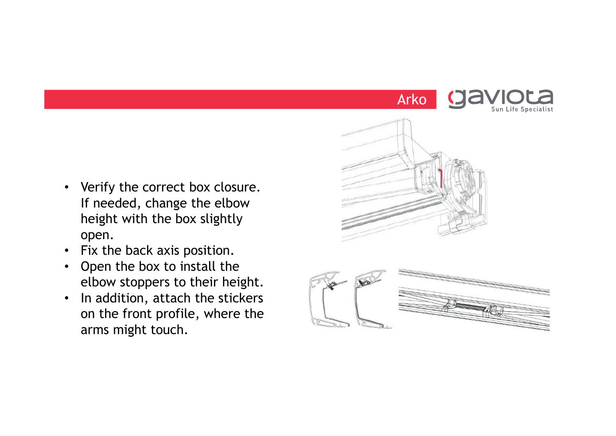

- Verify the correct box closure. If needed, change the elbow height with the box slightly open.
- Fix the back axis position.
- Open the box to install the elbow stoppers to their height.
- In addition, attach the stickers on the front profile, where the arms might touch.



Arko

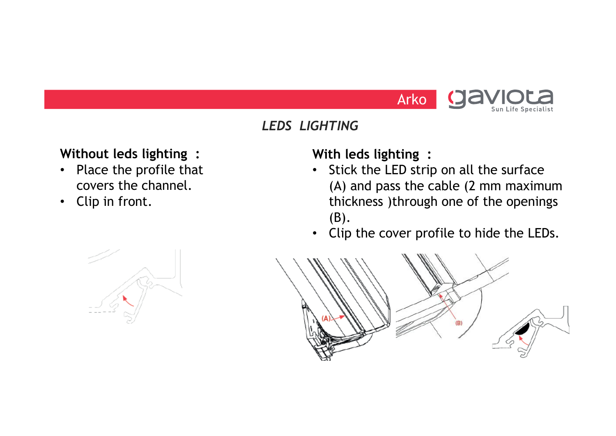

## *LEDS LIGHTING*

# **Without leds lighting :**

- Place the profile that covers the channel.
- Clip in front.

## **With leds lighting :**

- Stick the LED strip on all the surface (A) and pass the cable (2 mm maximum thickness )through one of the openings (B).
- Clip the cover profile to hide the LEDs.



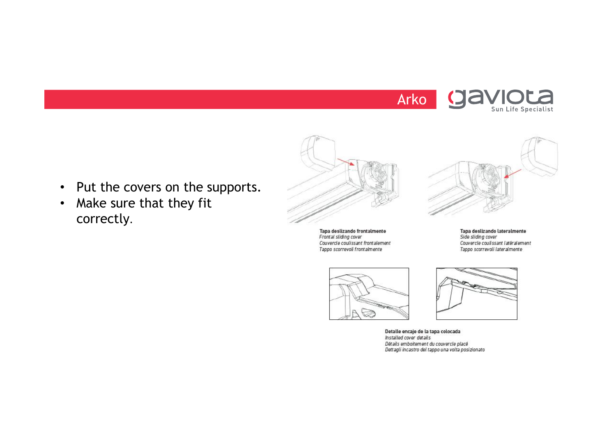



• Make sure that they fit correctly.



Tapa deslizando frontalmente<br>Frontal sliding cover Couvercle coulissant frontalement Tappo scorrevoli frontalmente



Tapa deslizando lateralmente<br>Side sliding cover Couvercle coulissant latéralement Tappo scorrevoli lateralmente





Detalle encaje de la tapa colocada Installed cover details Détails emboitement du couvercle placé Dettagli incastro del tappo una volta posizionato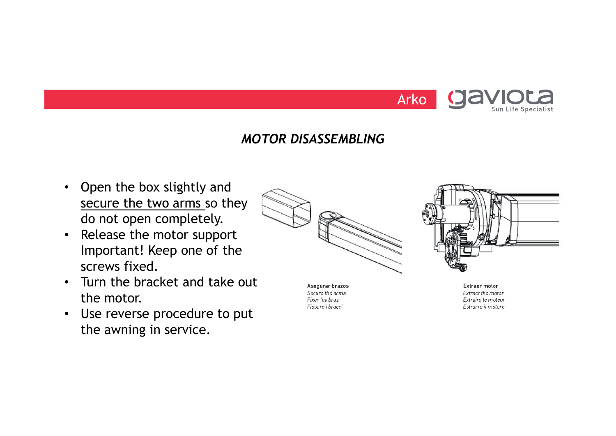

#### *MOTOR DISASSEMBLING*

- Open the box slightly and secure the two arms so they do not open completely.
- Release the motor support Important! Keep one of the screws fixed.
- Turn the bracket and take out the motor.
- Use reverse procedure to put the awning in service.





Asegurar brazos Secure the arms Fixer les bras Fissare i bracci

**Extraer motor** Extract the motor Extraire le moteur Estrarre il motore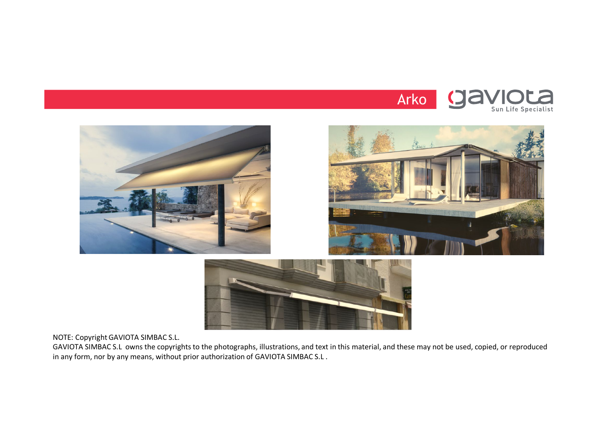







NOTE: Copyright GAVIOTA SIMBAC S.L.

GAVIOTA SIMBAC S.L owns the copyrights to the photographs, illustrations, and text in this material, and these may not be used, copied, or reproduced in any form, nor by any means, without prior authorization of GAVIOTA SIMBAC S.L .